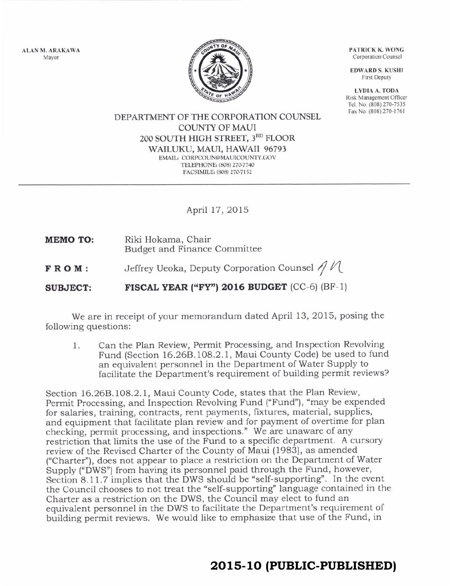ALAN M, ARAKAWA Mayor



PATRICK K. WONG Corporation Counsel

**EDWARD S. KUSHI** First Deputy

LYDIA A. TODA Risk Management Officer Tel. No. (808) 270-7535 Fax No. (808) 270-1761

DEPARTMENT OF THE CORPORATION COUNSEL COTINTY OF MAUI 2OO SOUTH HIGH STREET, 3RD FLOOR WAILUKU, MAUI, HAWAII 96793 EMAIL: CORPCOUN@MAUICOUNTY.GOV TELEPHONE: (808) 270-7740 FACSIMILE: (808) 270-7152

## April 17,2OI5

- Riki Hokama, Chair Budget and Finance Committee MEMO TO:
- FROM: Jeffrey Ueoka, Deputy Corporation Coun sel 4 n-

SUBJECT: FISCAL YEAR ("FY") 2016 BUDGET (CC-6) (BF-1)

We are in receipt of your memorandum dated April 13, 2015, posing the following questions:

1. Can the Plan Review, Permit Processing, and Inspection Revolving Fund (Section 16268.108.2.1, Maui County Code) be used to fund an equivalent personnel in the Department of Water Supply to facilitate the Department's requirement of building permit reviews?

Section 16.268.108.2. 1, Maui County Code, states that the Plan Review, Permit Processing, and Inspection Revolving Fund ("Fund"), "may be expended for salaries, training, contracts, rent payments, fixtures, material, Supplies, and equipment that facilitate plan review and for payment of overtime for plan checking, permit processing, and inspections." We are unaware of any restriction that limits the use of the Fund to a specific department. A cursory review of the Revised Charter of the County of Maui (1983), as amended ("Charter"), does not appear to place a restriction on the Department of Water Supply ("DWS") from having its personnel paid through the Fund, however, Section 8.11.7 implies that the DWS should be "self-supporting". In the event the Council chooses to not treat the "self-supporting" language contained in the Charter as a restriction on the DWS, the Council may elect to fund an equivalent personnel in the DWS to facilitate the Department's requirement of building permit reviews. We would like to emphasize that use of the Fund, in

## **2015-10 (PUBLIC-PUBLISHED)**